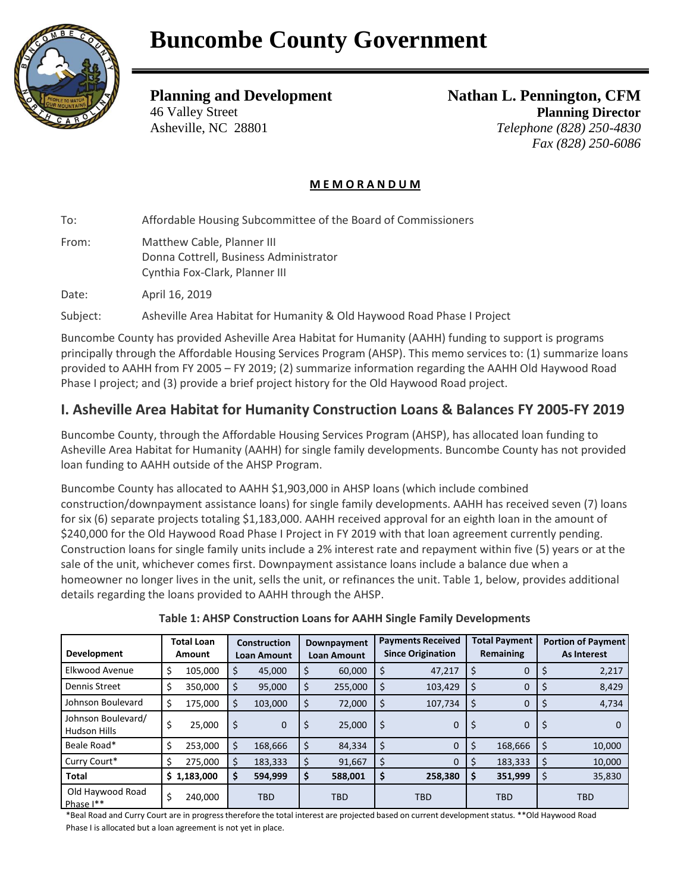

### **Planning and Development**  46 Valley Street Asheville, NC 28801

**Nathan L. Pennington, CFM Planning Director** *Telephone (828) 250-4830 Fax (828) 250-6086*

#### **M E M O R A N D U M**

To: Affordable Housing Subcommittee of the Board of Commissioners

From: Matthew Cable, Planner III Donna Cottrell, Business Administrator Cynthia Fox-Clark, Planner III

Date: April 16, 2019

Subject: Asheville Area Habitat for Humanity & Old Haywood Road Phase I Project

Buncombe County has provided Asheville Area Habitat for Humanity (AAHH) funding to support is programs principally through the Affordable Housing Services Program (AHSP). This memo services to: (1) summarize loans provided to AAHH from FY 2005 – FY 2019; (2) summarize information regarding the AAHH Old Haywood Road Phase I project; and (3) provide a brief project history for the Old Haywood Road project.

# **I. Asheville Area Habitat for Humanity Construction Loans & Balances FY 2005-FY 2019**

Buncombe County, through the Affordable Housing Services Program (AHSP), has allocated loan funding to Asheville Area Habitat for Humanity (AAHH) for single family developments. Buncombe County has not provided loan funding to AAHH outside of the AHSP Program.

Buncombe County has allocated to AAHH \$1,903,000 in AHSP loans (which include combined construction/downpayment assistance loans) for single family developments. AAHH has received seven (7) loans for six (6) separate projects totaling \$1,183,000. AAHH received approval for an eighth loan in the amount of \$240,000 for the Old Haywood Road Phase I Project in FY 2019 with that loan agreement currently pending. Construction loans for single family units include a 2% interest rate and repayment within five (5) years or at the sale of the unit, whichever comes first. Downpayment assistance loans include a balance due when a homeowner no longer lives in the unit, sells the unit, or refinances the unit. Table 1, below, provides additional details regarding the loans provided to AAHH through the AHSP.

| Development                        | <b>Total Loan</b><br>Amount |             | <b>Construction</b><br><b>Loan Amount</b> |              | Downpayment<br><b>Loan Amount</b> |            | <b>Payments Received</b><br><b>Since Origination</b> |            | <b>Total Payment</b><br>Remaining |              | <b>Portion of Payment</b><br><b>As Interest</b> |            |
|------------------------------------|-----------------------------|-------------|-------------------------------------------|--------------|-----------------------------------|------------|------------------------------------------------------|------------|-----------------------------------|--------------|-------------------------------------------------|------------|
| Elkwood Avenue                     | Ś                           | 105,000     | S                                         | 45,000       | \$                                | 60,000     | \$                                                   | 47,217     | \$,                               | $\mathbf{0}$ |                                                 | 2,217      |
| Dennis Street                      | \$                          | 350,000     | S                                         | 95,000       | \$                                | 255,000    | \$                                                   | 103,429    | \$.                               | 0            |                                                 | 8,429      |
| Johnson Boulevard                  | \$                          | 175,000     | S                                         | 103,000      | \$                                | 72,000     | \$                                                   | 107,734    | \$.                               | $\Omega$     |                                                 | 4,734      |
| Johnson Boulevard/<br>Hudson Hills | \$                          | 25.000      | -S                                        | $\mathbf{0}$ | \$                                | 25,000     | \$                                                   | 0          | -S                                | $\mathbf{0}$ | Ş                                               |            |
| Beale Road*                        | \$                          | 253,000     | S                                         | 168,666      | \$                                | 84,334     | \$                                                   | $\Omega$   | S                                 | 168,666      | \$                                              | 10,000     |
| Curry Court*                       |                             | 275,000     |                                           | 183,333      | \$                                | 91,667     | \$                                                   | 0          | 5                                 | 183,333      | Ś                                               | 10,000     |
| <b>Total</b>                       |                             | \$1,183,000 |                                           | 594,999      | \$                                | 588,001    | \$                                                   | 258,380    | \$                                | 351,999      |                                                 | 35,830     |
| Old Haywood Road<br>Phase I**      | \$                          | 240,000     |                                           | <b>TBD</b>   |                                   | <b>TBD</b> |                                                      | <b>TBD</b> |                                   | <b>TBD</b>   |                                                 | <b>TBD</b> |

**Table 1: AHSP Construction Loans for AAHH Single Family Developments**

\*Beal Road and Curry Court are in progress therefore the total interest are projected based on current development status. \*\*Old Haywood Road Phase I is allocated but a loan agreement is not yet in place.